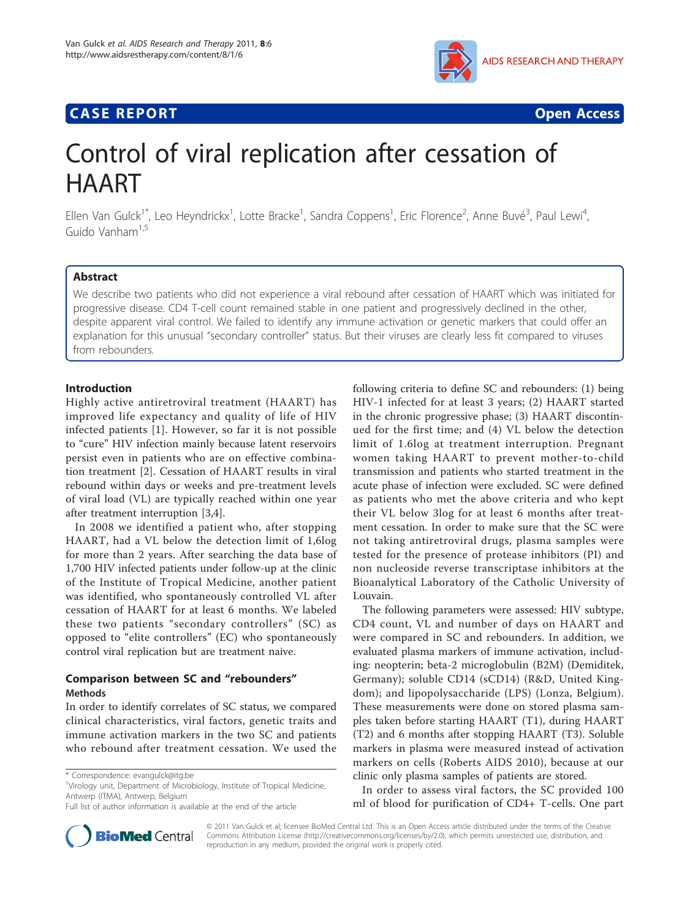## **CASE REPORT CASE REPORT CASE REPORT**



# Control of viral replication after cessation of HAART

Ellen Van Gulck<sup>1\*</sup>, Leo Heyndrickx<sup>1</sup>, Lotte Bracke<sup>1</sup>, Sandra Coppens<sup>1</sup>, Eric Florence<sup>2</sup>, Anne Buvé<sup>3</sup>, Paul Lewi<sup>4</sup> , Guido Vanham1,5

## Abstract

We describe two patients who did not experience a viral rebound after cessation of HAART which was initiated for progressive disease. CD4 T-cell count remained stable in one patient and progressively declined in the other, despite apparent viral control. We failed to identify any immune activation or genetic markers that could offer an explanation for this unusual "secondary controller" status. But their viruses are clearly less fit compared to viruses from rebounders.

## Introduction

Highly active antiretroviral treatment (HAART) has improved life expectancy and quality of life of HIV infected patients [\[1](#page-4-0)]. However, so far it is not possible to "cure" HIV infection mainly because latent reservoirs persist even in patients who are on effective combination treatment [[2\]](#page-4-0). Cessation of HAART results in viral rebound within days or weeks and pre-treatment levels of viral load (VL) are typically reached within one year after treatment interruption [\[3,4](#page-4-0)].

In 2008 we identified a patient who, after stopping HAART, had a VL below the detection limit of 1,6log for more than 2 years. After searching the data base of 1,700 HIV infected patients under follow-up at the clinic of the Institute of Tropical Medicine, another patient was identified, who spontaneously controlled VL after cessation of HAART for at least 6 months. We labeled these two patients "secondary controllers" (SC) as opposed to "elite controllers" (EC) who spontaneously control viral replication but are treatment naive.

## Comparison between SC and "rebounders" Methods

In order to identify correlates of SC status, we compared clinical characteristics, viral factors, genetic traits and immune activation markers in the two SC and patients who rebound after treatment cessation. We used the



The following parameters were assessed: HIV subtype, CD4 count, VL and number of days on HAART and were compared in SC and rebounders. In addition, we evaluated plasma markers of immune activation, including: neopterin; beta-2 microglobulin (B2M) (Demiditek, Germany); soluble CD14 (sCD14) (R&D, United Kingdom); and lipopolysaccharide (LPS) (Lonza, Belgium). These measurements were done on stored plasma samples taken before starting HAART (T1), during HAART (T2) and 6 months after stopping HAART (T3). Soluble markers in plasma were measured instead of activation markers on cells (Roberts AIDS 2010), because at our clinic only plasma samples of patients are stored.

In order to assess viral factors, the SC provided 100 ml of blood for purification of CD4+ T-cells. One part



© 2011 Van Gulck et al; licensee BioMed Central Ltd. This is an Open Access article distributed under the terms of the Creative Commons Attribution License [\(http://creativecommons.org/licenses/by/2.0](http://creativecommons.org/licenses/by/2.0)), which permits unrestricted use, distribution, and reproduction in any medium, provided the original work is properly cited.

<sup>\*</sup> Correspondence: [evangulck@itg.be](mailto:evangulck@itg.be)

<sup>&</sup>lt;sup>1</sup>Virology unit, Department of Microbiology, Institute of Tropical Medicine, Antwerp (ITMA), Antwerp, Belgium

Full list of author information is available at the end of the article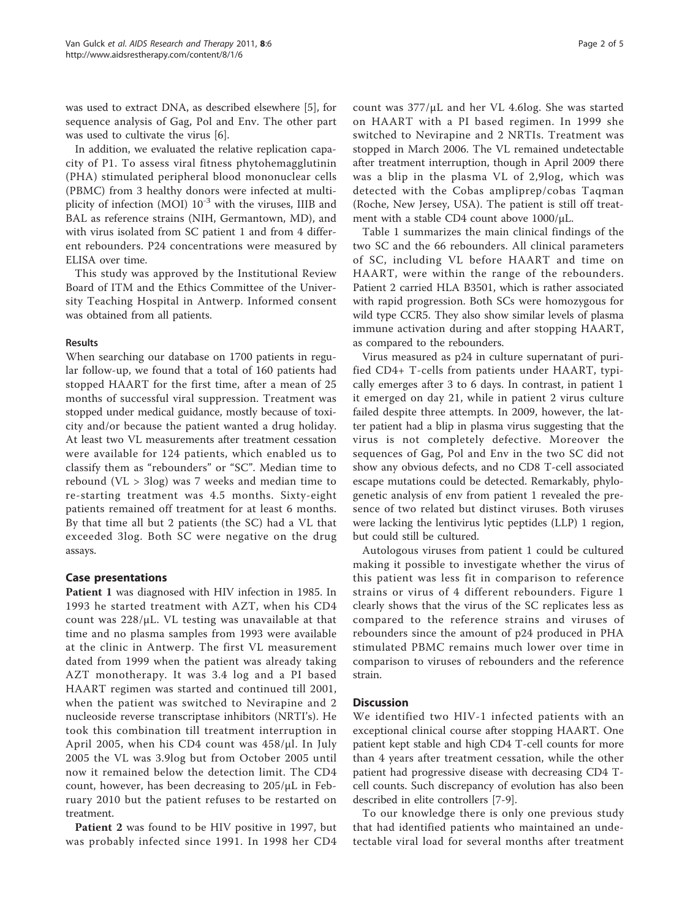was used to extract DNA, as described elsewhere [\[5](#page-4-0)], for sequence analysis of Gag, Pol and Env. The other part was used to cultivate the virus [[6\]](#page-4-0).

In addition, we evaluated the relative replication capacity of P1. To assess viral fitness phytohemagglutinin (PHA) stimulated peripheral blood mononuclear cells (PBMC) from 3 healthy donors were infected at multiplicity of infection (MOI)  $10^{-3}$  with the viruses, IIIB and BAL as reference strains (NIH, Germantown, MD), and with virus isolated from SC patient 1 and from 4 different rebounders. P24 concentrations were measured by ELISA over time.

This study was approved by the Institutional Review Board of ITM and the Ethics Committee of the University Teaching Hospital in Antwerp. Informed consent was obtained from all patients.

## Results

When searching our database on 1700 patients in regular follow-up, we found that a total of 160 patients had stopped HAART for the first time, after a mean of 25 months of successful viral suppression. Treatment was stopped under medical guidance, mostly because of toxicity and/or because the patient wanted a drug holiday. At least two VL measurements after treatment cessation were available for 124 patients, which enabled us to classify them as "rebounders" or "SC". Median time to rebound (VL > 3log) was 7 weeks and median time to re-starting treatment was 4.5 months. Sixty-eight patients remained off treatment for at least 6 months. By that time all but 2 patients (the SC) had a VL that exceeded 3log. Both SC were negative on the drug assays.

## Case presentations

Patient 1 was diagnosed with HIV infection in 1985. In 1993 he started treatment with AZT, when his CD4 count was 228/μL. VL testing was unavailable at that time and no plasma samples from 1993 were available at the clinic in Antwerp. The first VL measurement dated from 1999 when the patient was already taking AZT monotherapy. It was 3.4 log and a PI based HAART regimen was started and continued till 2001, when the patient was switched to Nevirapine and 2 nucleoside reverse transcriptase inhibitors (NRTI's). He took this combination till treatment interruption in April 2005, when his CD4 count was 458/μl. In July 2005 the VL was 3.9log but from October 2005 until now it remained below the detection limit. The CD4 count, however, has been decreasing to 205/μL in February 2010 but the patient refuses to be restarted on treatment.

Patient 2 was found to be HIV positive in 1997, but was probably infected since 1991. In 1998 her CD4 was a blip in the plasma VL of 2,9log, which was detected with the Cobas ampliprep/cobas Taqman (Roche, New Jersey, USA). The patient is still off treatment with a stable CD4 count above 1000/μL.

Table [1](#page-2-0) summarizes the main clinical findings of the two SC and the 66 rebounders. All clinical parameters of SC, including VL before HAART and time on HAART, were within the range of the rebounders. Patient 2 carried HLA B3501, which is rather associated with rapid progression. Both SCs were homozygous for wild type CCR5. They also show similar levels of plasma immune activation during and after stopping HAART, as compared to the rebounders.

Virus measured as p24 in culture supernatant of purified CD4+ T-cells from patients under HAART, typically emerges after 3 to 6 days. In contrast, in patient 1 it emerged on day 21, while in patient 2 virus culture failed despite three attempts. In 2009, however, the latter patient had a blip in plasma virus suggesting that the virus is not completely defective. Moreover the sequences of Gag, Pol and Env in the two SC did not show any obvious defects, and no CD8 T-cell associated escape mutations could be detected. Remarkably, phylogenetic analysis of env from patient 1 revealed the presence of two related but distinct viruses. Both viruses were lacking the lentivirus lytic peptides (LLP) 1 region, but could still be cultured.

Autologous viruses from patient 1 could be cultured making it possible to investigate whether the virus of this patient was less fit in comparison to reference strains or virus of 4 different rebounders. Figure [1](#page-3-0) clearly shows that the virus of the SC replicates less as compared to the reference strains and viruses of rebounders since the amount of p24 produced in PHA stimulated PBMC remains much lower over time in comparison to viruses of rebounders and the reference strain.

## **Discussion**

We identified two HIV-1 infected patients with an exceptional clinical course after stopping HAART. One patient kept stable and high CD4 T-cell counts for more than 4 years after treatment cessation, while the other patient had progressive disease with decreasing CD4 Tcell counts. Such discrepancy of evolution has also been described in elite controllers [[7-9](#page-4-0)].

To our knowledge there is only one previous study that had identified patients who maintained an undetectable viral load for several months after treatment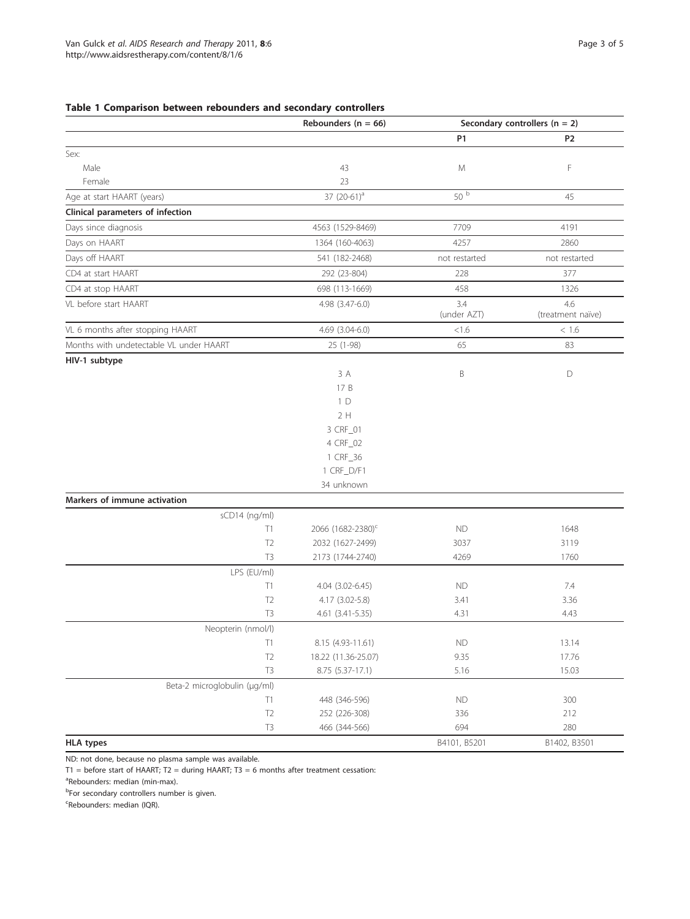## <span id="page-2-0"></span>Table 1 Comparison between rebounders and secondary controllers

|                                         | Rebounders ( $n = 66$ )       | Secondary controllers ( $n = 2$ ) |                   |
|-----------------------------------------|-------------------------------|-----------------------------------|-------------------|
|                                         |                               | P1                                | P2                |
| Sex:                                    |                               |                                   |                   |
| Male                                    | 43                            | M                                 | F                 |
| Female                                  | 23                            |                                   |                   |
| Age at start HAART (years)              | 37 (20-61) <sup>a</sup>       | 50 b                              | 45                |
| Clinical parameters of infection        |                               |                                   |                   |
| Days since diagnosis                    | 4563 (1529-8469)              | 7709                              | 4191              |
| Days on HAART                           | 1364 (160-4063)               | 4257                              | 2860              |
| Days off HAART                          | 541 (182-2468)                | not restarted                     | not restarted     |
| CD4 at start HAART                      | 292 (23-804)                  | 228                               | 377               |
| CD4 at stop HAART                       | 698 (113-1669)                | 458                               | 1326              |
| VL before start HAART                   | 4.98 (3.47-6.0)               | 3.4                               | 4.6               |
|                                         |                               | (under AZT)                       | (treatment naïve) |
| VL 6 months after stopping HAART        | $4.69$ $(3.04-6.0)$           | < 1.6                             | $<\,1.6$          |
| Months with undetectable VL under HAART | 25 (1-98)                     | 65                                | 83                |
| HIV-1 subtype                           |                               |                                   |                   |
|                                         | 3 A                           | B                                 | D                 |
|                                         | 17 B                          |                                   |                   |
|                                         | 1D                            |                                   |                   |
|                                         | 2H                            |                                   |                   |
|                                         | 3 CRF_01                      |                                   |                   |
|                                         | 4 CRF_02                      |                                   |                   |
|                                         | 1 CRF_36                      |                                   |                   |
|                                         | 1 CRF_D/F1                    |                                   |                   |
|                                         | 34 unknown                    |                                   |                   |
| Markers of immune activation            |                               |                                   |                   |
| sCD14 (ng/ml)                           |                               |                                   |                   |
| T1                                      | 2066 (1682-2380) <sup>c</sup> | <b>ND</b>                         | 1648              |
| T <sub>2</sub>                          | 2032 (1627-2499)              | 3037                              | 3119              |
| T <sub>3</sub>                          | 2173 (1744-2740)              | 4269                              | 1760              |
| LPS (EU/ml)                             |                               |                                   |                   |
| T1                                      | 4.04 (3.02-6.45)              | <b>ND</b>                         | 7.4               |
| T <sub>2</sub>                          | 4.17 (3.02-5.8)               | 3.41                              | 3.36              |
| T <sub>3</sub>                          | 4.61 (3.41-5.35)              | 4.31                              | 4.43              |
| Neopterin (nmol/l)                      |                               |                                   |                   |
| $\top$ 1                                | 8.15 (4.93-11.61)             | <b>ND</b>                         | 13.14             |
| T <sub>2</sub>                          | 18.22 (11.36-25.07)           | 9.35                              | 17.76             |
| T <sub>3</sub>                          | 8.75 (5.37-17.1)              | 5.16                              | 15.03             |
| Beta-2 microglobulin (µg/ml)            |                               |                                   |                   |
| T1                                      | 448 (346-596)                 | <b>ND</b>                         | 300               |
| T <sub>2</sub>                          | 252 (226-308)                 | 336                               | 212               |
| $\mathsf{T}3$                           | 466 (344-566)                 | 694                               | 280               |
| <b>HLA types</b>                        |                               | B4101, B5201                      | B1402, B3501      |

ND: not done, because no plasma sample was available.

 $T1 =$  before start of HAART;  $T2 =$  during HAART;  $T3 = 6$  months after treatment cessation:

<sup>a</sup>Rebounders: median (min-max).

<sup>b</sup>For secondary controllers number is given.

<sup>c</sup>Rebounders: median (IQR).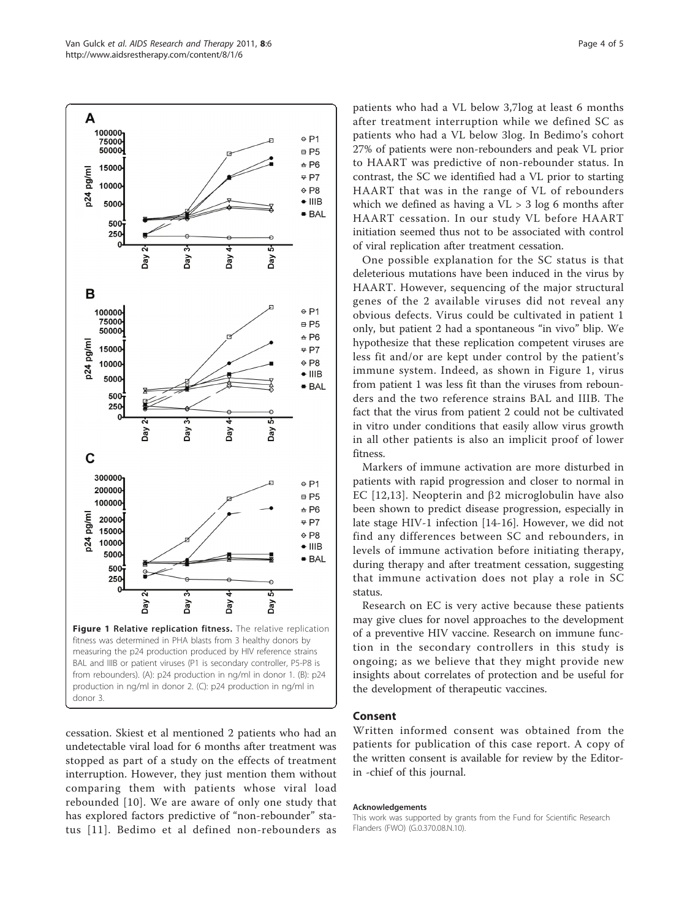<span id="page-3-0"></span>

donor 3.

cessation. Skiest et al mentioned 2 patients who had an undetectable viral load for 6 months after treatment was stopped as part of a study on the effects of treatment interruption. However, they just mention them without comparing them with patients whose viral load rebounded [[10](#page-4-0)]. We are aware of only one study that has explored factors predictive of "non-rebounder" status [[11\]](#page-4-0). Bedimo et al defined non-rebounders as

patients who had a VL below 3,7log at least 6 months after treatment interruption while we defined SC as patients who had a VL below 3log. In Bedimo's cohort 27% of patients were non-rebounders and peak VL prior to HAART was predictive of non-rebounder status. In contrast, the SC we identified had a VL prior to starting HAART that was in the range of VL of rebounders which we defined as having a  $VL > 3$  log 6 months after HAART cessation. In our study VL before HAART initiation seemed thus not to be associated with control of viral replication after treatment cessation.

One possible explanation for the SC status is that deleterious mutations have been induced in the virus by HAART. However, sequencing of the major structural genes of the 2 available viruses did not reveal any obvious defects. Virus could be cultivated in patient 1 only, but patient 2 had a spontaneous "in vivo" blip. We hypothesize that these replication competent viruses are less fit and/or are kept under control by the patient's immune system. Indeed, as shown in Figure 1, virus from patient 1 was less fit than the viruses from rebounders and the two reference strains BAL and IIIB. The fact that the virus from patient 2 could not be cultivated in vitro under conditions that easily allow virus growth in all other patients is also an implicit proof of lower fitness.

Markers of immune activation are more disturbed in patients with rapid progression and closer to normal in EC [[12](#page-4-0),[13\]](#page-4-0). Neopterin and  $\beta$ 2 microglobulin have also been shown to predict disease progression, especially in late stage HIV-1 infection [\[14](#page-4-0)-[16\]](#page-4-0). However, we did not find any differences between SC and rebounders, in levels of immune activation before initiating therapy, during therapy and after treatment cessation, suggesting that immune activation does not play a role in SC status.

Research on EC is very active because these patients may give clues for novel approaches to the development of a preventive HIV vaccine. Research on immune function in the secondary controllers in this study is ongoing; as we believe that they might provide new insights about correlates of protection and be useful for the development of therapeutic vaccines.

## Consent

Written informed consent was obtained from the patients for publication of this case report. A copy of the written consent is available for review by the Editorin -chief of this journal.

#### Acknowledgements

This work was supported by grants from the Fund for Scientific Research Flanders (FWO) (G.0.370.08.N.10).